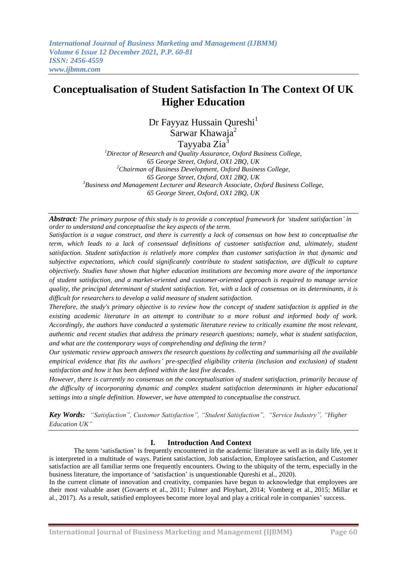# **Conceptualisation of Student Satisfaction In The Context Of UK Higher Education**

Dr Fayyaz Hussain Qureshi<sup>1</sup> Sarwar Khawaja<sup>2</sup>

Tayyaba Zia<sup>3</sup>

*<sup>1</sup>Director of Research and Quality Assurance, Oxford Business College, 65 George Street, Oxford, OX1 2BQ, UK <sup>2</sup>Chairman of Business Development, Oxford Business College, 65 George Street, Oxford, OX1 2BQ, UK <sup>3</sup>Business and Management Lecturer and Research Associate, Oxford Business College, 65 George Street, Oxford, OX1 2BQ, UK*

*Abstract: The primary purpose of this study is to provide a conceptual framework for "student satisfaction" in order to understand and conceptualise the key aspects of the term.*

*Satisfaction is a vague construct, and there is currently a lack of consensus on how best to conceptualise the term, which leads to a lack of consensual definitions of customer satisfaction and, ultimately, student satisfaction. Student satisfaction is relatively more complex than customer satisfaction in that dynamic and subjective expectations, which could significantly contribute to student satisfaction, are difficult to capture objectively. Studies have shown that higher education institutions are becoming more aware of the importance of student satisfaction, and a market-oriented and customer-oriented approach is required to manage service quality, the principal determinant of student satisfaction. Yet, with a lack of consensus on its determinants, it is difficult for researchers to develop a valid measure of student satisfaction.* 

*Therefore, the study's primary objective is to review how the concept of student satisfaction is applied in the existing academic literature in an attempt to contribute to a more robust and informed body of work. Accordingly, the authors have conducted a systematic literature review to critically examine the most relevant, authentic and recent studies that address the primary research questions; namely, what is student satisfaction, and what are the contemporary ways of comprehending and defining the term?* 

*Our systematic review approach answers the research questions by collecting and summarising all the available empirical evidence that fits the authors" pre-specified eligibility criteria (inclusion and exclusion) of student satisfaction and how it has been defined within the last five decades.*

*However, there is currently no consensus on the conceptualisation of student satisfaction, primarily because of the difficulty of incorporating dynamic and complex student satisfaction determinants in higher educational settings into a single definition. However, we have attempted to conceptualise the construct.*

*Key Words: "Satisfaction", Customer Satisfaction", "Student Satisfaction", "Service Industry", "Higher Education UK"*

## **I. Introduction And Context**

The term 'satisfaction' is frequently encountered in the academic literature as well as in daily life, yet it is interpreted in a multitude of ways. Patient satisfaction, Job satisfaction, Employee satisfaction, and Customer satisfaction are all familiar terms one frequently encounters. Owing to the ubiquity of the term, especially in the business literature, the importance of 'satisfaction' is unquestionable Qureshi et al., 2020).

In the current climate of innovation and creativity, companies have begun to acknowledge that employees are their most valuable asset (Govaerts et al., [2011;](https://www.ncbi.nlm.nih.gov/pmc/articles/PMC5820360/#B24) Fulmer and Ployhart, [2014;](https://www.ncbi.nlm.nih.gov/pmc/articles/PMC5820360/#B20) Vomberg et al., [2015;](https://www.ncbi.nlm.nih.gov/pmc/articles/PMC5820360/#B65) Millar et al., [2017\)](https://www.ncbi.nlm.nih.gov/pmc/articles/PMC5820360/#B41). As a result, satisfied employees become more loyal and play a critical role in companies' success.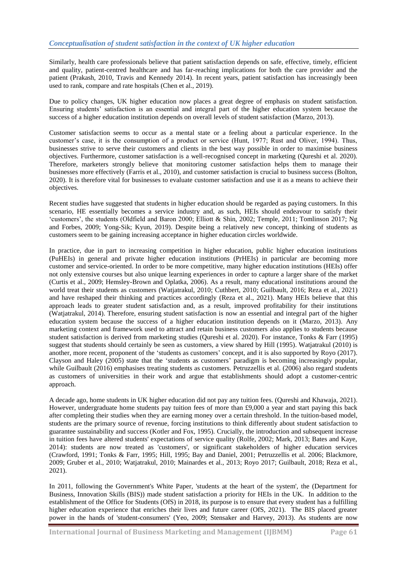Similarly, health care professionals believe that patient satisfaction depends on safe, effective, timely, efficient and quality, patient-centred healthcare and has far-reaching implications for both the care provider and the patient (Prakash, 2010, Travis and Kennedy 2014). In recent years, patient satisfaction has increasingly been used to rank, compare and rate hospitals (Chen et al., 2019).

Due to policy changes, UK higher education now places a great degree of emphasis on student satisfaction. Ensuring students' satisfaction is an essential and integral part of the higher education system because the success of a higher education institution depends on overall levels of student satisfaction (Marzo, 2013).

Customer satisfaction seems to occur as a mental state or a feeling about a particular experience. In the customer's case, it is the consumption of a product or service (Hunt, 1977; Rust and Oliver, 1994). Thus, businesses strive to serve their customers and clients in the best way possible in order to maximise business objectives. Furthermore, customer satisfaction is a well-recognised concept in marketing (Qureshi et al. 2020). Therefore, marketers strongly believe that monitoring customer satisfaction helps them to manage their businesses more effectively (Farris et al., 2010), and customer satisfaction is crucial to business success (Bolton, 2020). It is therefore vital for businesses to evaluate customer satisfaction and use it as a means to achieve their objectives.

Recent studies have suggested that students in higher education should be regarded as paying customers. In this scenario, HE essentially becomes a service industry and, as such, HEIs should endeavour to satisfy their ‗customers', the students (Oldfield and Baron 2000; Elliott & Shin, 2002; Temple, 2011; Tomlinson 2017; Ng and Forbes, 2009; Yong-Sik; Kyun, 2019). Despite being a relatively new concept, thinking of students as customers seem to be gaining increasing acceptance in higher education circles worldwide.

In practice, due in part to increasing competition in higher education, public higher education institutions (PuHEIs) in general and private higher education institutions (PrHEIs) in particular are becoming more customer and service-oriented. In order to be more competitive, many higher education institutions (HEIs) offer not only extensive courses but also unique learning experiences in order to capture a larger share of the market (Curtis et al., 2009; Hemsley-Brown and Oplatka, 2006). As a result, many educational institutions around the world treat their students as customers (Watjatrakul, 2010; Cuthbert, 2010; Guilbault, 2016; Reza et al., 2021) and have reshaped their thinking and practices accordingly (Reza et al., 2021). Many HEIs believe that this approach leads to greater student satisfaction and, as a result, improved profitability for their institutions (Watjatrakul, 2014). Therefore, ensuring student satisfaction is now an essential and integral part of the higher education system because the success of a higher education institution depends on it (Marzo, 2013). Any marketing context and framework used to attract and retain business customers also applies to students because student satisfaction is derived from marketing studies (Qureshi et al. 2020). For instance, Tonks & Farr (1995) suggest that students should certainly be seen as customers, a view shared by Hill (1995). Watjatrakul (2010) is another, more recent, proponent of the 'students as customers' concept, and it is also supported by Royo (2017). Clayson and Haley (2005) state that the 'students as customers' paradigm is becoming increasingly popular, while Guilbault (2016) emphasises treating students as customers. Petruzzellis et al. (2006) also regard students as customers of universities in their work and argue that establishments should adopt a customer-centric approach.

A decade ago, home students in UK higher education did not pay any tuition fees. (Qureshi and Khawaja, 2021). However, undergraduate home students pay tuition fees of more than £9,000 a year and start paying this back after completing their studies when they are earning money over a certain threshold. In the tuition-based model, students are the primary source of revenue, forcing institutions to think differently about student satisfaction to guarantee sustainability and success (Kotler and Fox, 1995). Crucially, the introduction and subsequent increase in tuition fees have altered students' expectations of service quality (Rolfe, 2002; Mark, 2013; Bates and Kaye, 2014): students are now treated as 'customers', or significant stakeholders of higher education services (Crawford, 1991; Tonks & Farr, 1995; Hill, 1995; Bay and Daniel, 2001; Petruzzellis et al. 2006; Blackmore, 2009; Gruber et al., 2010; Watjatrakul, 2010; Mainardes et al., 2013; Royo 2017; Guilbault, 2018; Reza et al., 2021).

In 2011, following the Government's White Paper, 'students at the heart of the system', the (Department for Business, Innovation Skills (BIS)) made student satisfaction a priority for HEIs in the UK. In addition to the establishment of the Office for Students (OfS) in 2018, its purpose is to ensure that every student has a fulfilling higher education experience that enriches their lives and future career (OfS, 2021). The BIS placed greater power in the hands of 'student-consumers' (Yeo, 2009; Stensaker and Harvey, 2013). As students are now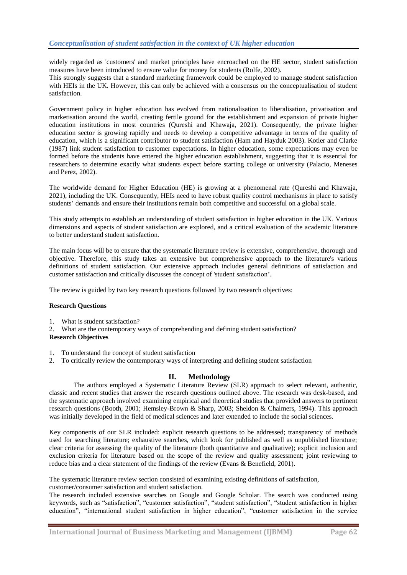widely regarded as 'customers' and market principles have encroached on the HE sector, student satisfaction measures have been introduced to ensure value for money for students (Rolfe, 2002). This strongly suggests that a standard marketing framework could be employed to manage student satisfaction with HEIs in the UK. However, this can only be achieved with a consensus on the conceptualisation of student satisfaction.

Government policy in higher education has evolved from nationalisation to liberalisation, privatisation and marketisation around the world, creating fertile ground for the establishment and expansion of private higher education institutions in most countries (Qureshi and Khawaja, 2021). Consequently, the private higher education sector is growing rapidly and needs to develop a competitive advantage in terms of the quality of education, which is a significant contributor to student satisfaction (Ham and Hayduk 2003). Kotler and Clarke (1987) link student satisfaction to customer expectations. In higher education, some expectations may even be formed before the students have entered the higher education establishment, suggesting that it is essential for researchers to determine exactly what students expect before starting college or university (Palacio, Meneses and Perez, 2002).

The worldwide demand for Higher Education (HE) is growing at a phenomenal rate (Qureshi and Khawaja, 2021), including the UK. Consequently, HEIs need to have robust quality control mechanisms in place to satisfy students' demands and ensure their institutions remain both competitive and successful on a global scale.

This study attempts to establish an understanding of student satisfaction in higher education in the UK. Various dimensions and aspects of student satisfaction are explored, and a critical evaluation of the academic literature to better understand student satisfaction.

The main focus will be to ensure that the systematic literature review is extensive, comprehensive, thorough and objective. Therefore, this study takes an extensive but comprehensive approach to the literature's various definitions of student satisfaction. Our extensive approach includes general definitions of satisfaction and customer satisfaction and critically discusses the concept of 'student satisfaction'.

The review is guided by two key research questions followed by two research objectives:

## **Research Questions**

- 
- 1. What is student satisfaction?<br>2. What are the contemporary w What are the contemporary ways of comprehending and defining student satisfaction?

#### **Research Objectives**

- 1. To understand the concept of student satisfaction
- 2. To critically review the contemporary ways of interpreting and defining student satisfaction

## **II. Methodology**

The authors employed a Systematic Literature Review (SLR) approach to select relevant, authentic, classic and recent studies that answer the research questions outlined above. The research was desk-based, and the systematic approach involved examining empirical and theoretical studies that provided answers to pertinent research questions (Booth, 2001; Hemsley-Brown & Sharp, 2003; Sheldon & Chalmers, 1994). This approach was initially developed in the field of medical sciences and later extended to include the social sciences.

Key components of our SLR included: explicit research questions to be addressed; transparency of methods used for searching literature; exhaustive searches, which look for published as well as unpublished literature; clear criteria for assessing the quality of the literature (both quantitative and qualitative); explicit inclusion and exclusion criteria for literature based on the scope of the review and quality assessment; joint reviewing to reduce bias and a clear statement of the findings of the review (Evans & Benefield, 2001).

The systematic literature review section consisted of examining existing definitions of satisfaction,

customer/consumer satisfaction and student satisfaction.

The research included extensive searches on Google and Google Scholar. The search was conducted using keywords, such as "satisfaction", "customer satisfaction", "student satisfaction", "student satisfaction in higher education", "international student satisfaction in higher education", "customer satisfaction in the service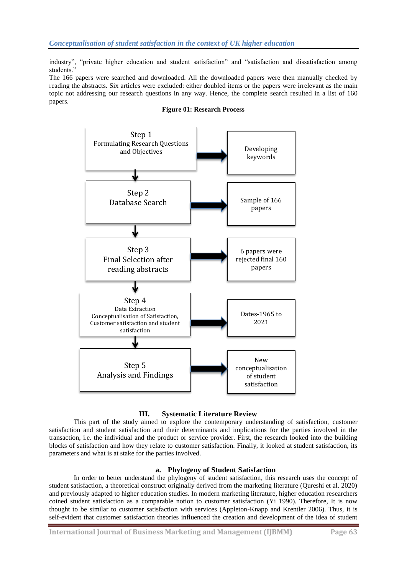industry", "private higher education and student satisfaction" and "satisfaction and dissatisfaction among students.'

The 166 papers were searched and downloaded. All the downloaded papers were then manually checked by reading the abstracts. Six articles were excluded: either doubled items or the papers were irrelevant as the main topic not addressing our research questions in any way. Hence, the complete search resulted in a list of 160 papers.



**Figure 01: Research Process**

## **III. Systematic Literature Review**

This part of the study aimed to explore the contemporary understanding of satisfaction, customer satisfaction and student satisfaction and their determinants and implications for the parties involved in the transaction, i.e. the individual and the product or service provider. First, the research looked into the building blocks of satisfaction and how they relate to customer satisfaction. Finally, it looked at student satisfaction, its parameters and what is at stake for the parties involved.

## **a. Phylogeny of Student Satisfaction**

In order to better understand the phylogeny of student satisfaction, this research uses the concept of student satisfaction, a theoretical construct originally derived from the marketing literature (Qureshi et al. 2020) and previously adapted to higher education studies. In modern marketing literature, higher education researchers coined student satisfaction as a comparable notion to customer satisfaction (Yi 1990). Therefore, It is now thought to be similar to customer satisfaction with services (Appleton-Knapp and Krentler 2006). Thus, it is self-evident that customer satisfaction theories influenced the creation and development of the idea of student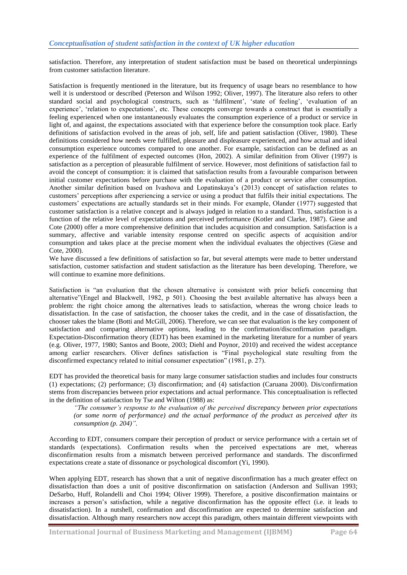satisfaction. Therefore, any interpretation of student satisfaction must be based on theoretical underpinnings from customer satisfaction literature.

Satisfaction is frequently mentioned in the literature, but its frequency of usage bears no resemblance to how well it is understood or described (Peterson and Wilson 1992; Oliver, 1997). The literature also refers to other standard social and psychological constructs, such as 'fulfilment', 'state of feeling', 'evaluation of an experience', ‗relation to expectations', etc. These concepts converge towards a construct that is essentially a feeling experienced when one instantaneously evaluates the consumption experience of a product or service in light of, and against, the expectations associated with that experience before the consumption took place. Early definitions of satisfaction evolved in the areas of job, self, life and patient satisfaction (Oliver, 1980). These definitions considered how needs were fulfilled, pleasure and displeasure experienced, and how actual and ideal consumption experience outcomes compared to one another. For example, satisfaction can be defined as an experience of the fulfilment of expected outcomes (Hon, 2002). A similar definition from Oliver (1997) is satisfaction as a perception of pleasurable fulfilment of service. However, most definitions of satisfaction fail to avoid the concept of consumption: it is claimed that satisfaction results from a favourable comparison between initial customer expectations before purchase with the evaluation of a product or service after consumption. Another similar definition based on Ivashova and Lopatinskaya's (2013) concept of satisfaction relates to customers' perceptions after experiencing a service or using a product that fulfils their initial expectations. The customers' expectations are actually standards set in their minds. For example, Olander (1977) suggested that customer satisfaction is a relative concept and is always judged in relation to a standard. Thus, satisfaction is a function of the relative level of expectations and perceived performance (Kotler and Clarke, 1987). Giese and Cote (2000) offer a more comprehensive definition that includes acquisition and consumption. Satisfaction is a summary, affective and variable intensity response centred on specific aspects of acquisition and/or consumption and takes place at the precise moment when the individual evaluates the objectives (Giese and Cote, 2000).

We have discussed a few definitions of satisfaction so far, but several attempts were made to better understand satisfaction, customer satisfaction and student satisfaction as the literature has been developing. Therefore, we will continue to examine more definitions.

Satisfaction is "an evaluation that the chosen alternative is consistent with prior beliefs concerning that alternative"(Engel and Blackwell, 1982, p 501). Choosing the best available alternative has always been a problem: the right choice among the alternatives leads to satisfaction, whereas the wrong choice leads to dissatisfaction. In the case of satisfaction, the chooser takes the credit, and in the case of dissatisfaction, the chooser takes the blame (Botti and McGill, 2006). Therefore, we can see that evaluation is the key component of satisfaction and comparing alternative options, leading to the confirmation/disconfirmation paradigm. Expectation-Disconfirmation theory (EDT) has been examined in the marketing literature for a number of years (e.g. Oliver, 1977, 1980; Santos and Boote, 2003; Diehl and Poynor, 2010) and received the widest acceptance among earlier researchers. Oliver defines satisfaction is "Final psychological state resulting from the disconfirmed expectancy related to initial consumer expectation" (1981, p. 27).

EDT has provided the theoretical basis for many large consumer satisfaction studies and includes four constructs (1) expectations; (2) performance; (3) disconfirmation; and (4) satisfaction (Caruana 2000). Dis/confirmation stems from discrepancies between prior expectations and actual performance. This conceptualisation is reflected in the definition of satisfaction by Tse and Wilton (1988) as:

*"The consumer"s response to the evaluation of the perceived discrepancy between prior expectations (or some norm of performance) and the actual performance of the product as perceived after its consumption (p. 204)".*

According to EDT, consumers compare their perception of product or service performance with a certain set of standards (expectations). Confirmation results when the perceived expectations are met, whereas disconfirmation results from a mismatch between perceived performance and standards. The disconfirmed expectations create a state of dissonance or psychological discomfort (Yi, 1990).

When applying EDT, research has shown that a unit of negative disconfirmation has a much greater effect on dissatisfaction than does a unit of positive disconfirmation on satisfaction (Anderson and Sullivan 1993; DeSarbo, Huff, Rolandelli and Choi 1994; Oliver 1999). Therefore, a positive disconfirmation maintains or increases a person's satisfaction, while a negative disconfirmation has the opposite effect (i.e. it leads to dissatisfaction). In a nutshell, confirmation and disconfirmation are expected to determine satisfaction and dissatisfaction. Although many researchers now accept this paradigm, others maintain different viewpoints with

**International Journal of Business Marketing and Management (IJBMM) Page 64**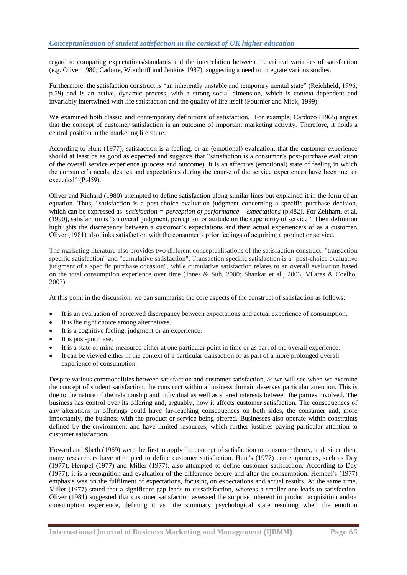regard to comparing expectations/standards and the interrelation between the critical variables of satisfaction (e.g. Oliver 1980; Cadotte, Woodruff and Jenkins 1987), suggesting a need to integrate various studies.

Furthermore, the satisfaction construct is "an inherently unstable and temporary mental state" (Reichheld, 1996; p.59) and is an active, dynamic process, with a strong social dimension, which is context-dependent and invariably intertwined with life satisfaction and the quality of life itself (Fournier and Mick, 1999).

We examined both classic and contemporary definitions of satisfaction. For example, Cardozo (1965) argues that the concept of customer satisfaction is an outcome of important marketing activity. Therefore, it holds a central position in the marketing literature.

According to Hunt (1977), satisfaction is a feeling, or an (emotional) evaluation, that the customer experience should at least be as good as expected and suggests that "satisfaction is a consumer's post-purchase evaluation of the overall service experience (process and outcome). It is an affective (emotional) state of feeling in which the consumer's needs, desires and expectations during the course of the service experiences have been met or exceeded" (P.459).

Oliver and Richard (1980) attempted to define satisfaction along similar lines but explained it in the form of an equation. Thus, "satisfaction is a post-choice evaluation judgment concerning a specific purchase decision, which can be expressed as: *satisfaction = perception of performance – expectations* (p.482). For Zeithaml et al. (1990), satisfaction is "an overall judgment, perception or attitude on the superiority of service". Their definition highlights the discrepancy between a customer's expectations and their actual experience/s of as a customer. Oliver (1981) also links satisfaction with the consumer's prior feelings of acquiring a product or service.

The marketing literature also provides two different conceptualisations of the satisfaction construct: "transaction specific satisfaction" and "cumulative satisfaction". Transaction specific satisfaction is a "post-choice evaluative judgment of a specific purchase occasion", while cumulative satisfaction relates to an overall evaluation based on the total consumption experience over time (Jones & Suh, 2000; Shankar et al., 2003; Vilares & Coelho, 2003).

At this point in the discussion, we can summarise the core aspects of the construct of satisfaction as follows:

- It is an evaluation of perceived discrepancy between expectations and actual experience of consumption.
- It is the right choice among alternatives.
- It is a cognitive feeling, judgment or an experience.
- It is post-purchase.
- It is a state of mind measured either at one particular point in time or as part of the overall experience.
- It can be viewed either in the context of a particular transaction or as part of a more prolonged overall experience of consumption.

Despite various commonalities between satisfaction and customer satisfaction, as we will see when we examine the concept of student satisfaction, the construct within a business domain deserves particular attention. This is due to the nature of the relationship and individual as well as shared interests between the parties involved. The business has control over its offering and, arguably, how it affects customer satisfaction. The consequences of any alterations in offerings could have far-reaching consequences on both sides, the consumer and, more importantly, the business with the product or service being offered. Businesses also operate within constraints defined by the environment and have limited resources, which further justifies paying particular attention to customer satisfaction.

Howard and Sheth (1969) were the first to apply the concept of satisfaction to consumer theory, and, since then, many researchers have attempted to define customer satisfaction. Hunt's (1977) contemporaries, such as Day (1977), Hempel (1977) and Miller (1977), also attempted to define customer satisfaction. According to Day (1977), it is a recognition and evaluation of the difference before and after the consumption. Hempel's (1977) emphasis was on the fulfilment of expectations, focusing on expectations and actual results. At the same time, Miller (1977) stated that a significant gap leads to dissatisfaction, whereas a smaller one leads to satisfaction. Oliver (1981) suggested that customer satisfaction assessed the surprise inherent in product acquisition and/or consumption experience, defining it as "the summary psychological state resulting when the emotion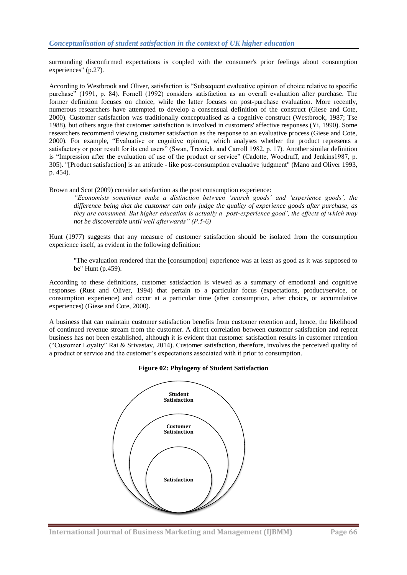surrounding disconfirmed expectations is coupled with the consumer's prior feelings about consumption experiences" (p.27).

According to Westbrook and Oliver, satisfaction is "Subsequent evaluative opinion of choice relative to specific purchase" (1991, p. 84). Fornell (1992) considers satisfaction as an overall evaluation after purchase. The former definition focuses on choice, while the latter focuses on post-purchase evaluation. More recently, numerous researchers have attempted to develop a consensual definition of the construct (Giese and Cote, 2000). Customer satisfaction was traditionally conceptualised as a cognitive construct (Westbrook, 1987; Tse 1988), but others argue that customer satisfaction is involved in customers' affective responses (Yi, 1990). Some researchers recommend viewing customer satisfaction as the response to an evaluative process (Giese and Cote, 2000). For example, "Evaluative or cognitive opinion, which analyses whether the product represents a satisfactory or poor result for its end users" (Swan, Trawick, and Carroll 1982, p. 17). Another similar definition is "Impression after the evaluation of use of the product or service" (Cadotte, Woodruff, and Jenkins1987, p. 305). "[Product satisfaction] is an attitude - like post-consumption evaluative judgment" (Mano and Oliver 1993, p. 454).

Brown and Scot (2009) consider satisfaction as the post consumption experience:

*"Economists sometimes make a distinction between "search goods" and "experience goods", the difference being that the customer can only judge the quality of experience goods after purchase, as they are consumed. But higher education is actually a "post-experience good", the effects of which may not be discoverable until well afterwards" (P.5-6)*

Hunt (1977) suggests that any measure of customer satisfaction should be isolated from the consumption experience itself, as evident in the following definition:

"The evaluation rendered that the [consumption] experience was at least as good as it was supposed to be" Hunt (p.459).

According to these definitions, customer satisfaction is viewed as a summary of emotional and cognitive responses (Rust and Oliver, 1994) that pertain to a particular focus (expectations, product/service, or consumption experience) and occur at a particular time (after consumption, after choice, or accumulative experiences) (Giese and Cote, 2000).

A business that can maintain customer satisfaction benefits from customer retention and, hence, the likelihood of continued revenue stream from the customer. A direct correlation between customer satisfaction and repeat business has not been established, although it is evident that customer satisfaction results in customer retention ("Customer Loyalty" [Rai & Srivastav,](http://www.bookdepository.com/author/Rai-Srivastav) 2014). Customer satisfaction, therefore, involves the perceived quality of a product or service and the customer's expectations associated with it prior to consumption.

#### **Figure 02: Phylogeny of Student Satisfaction**

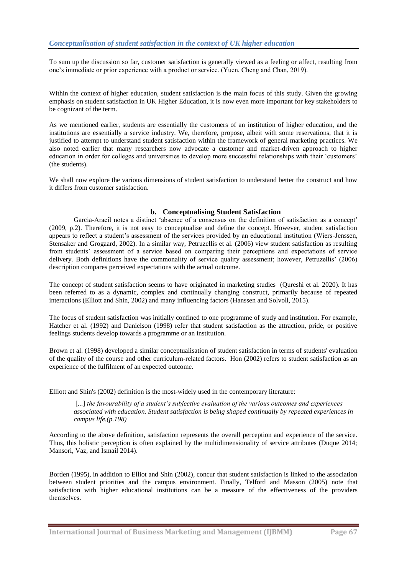To sum up the discussion so far, customer satisfaction is generally viewed as a feeling or affect, resulting from one's immediate or prior experience with a product or service. (Yuen, Cheng and Chan, 2019).

Within the context of higher education, student satisfaction is the main focus of this study. Given the growing emphasis on student satisfaction in UK Higher Education, it is now even more important for key stakeholders to be cognizant of the term.

As we mentioned earlier, students are essentially the customers of an institution of higher education, and the institutions are essentially a service industry. We, therefore, propose, albeit with some reservations, that it is justified to attempt to understand student satisfaction within the framework of general marketing practices. We also noted earlier that many researchers now advocate a customer and market-driven approach to higher education in order for colleges and universities to develop more successful relationships with their 'customers' (the students).

We shall now explore the various dimensions of student satisfaction to understand better the construct and how it differs from customer satisfaction.

## **b. Conceptualising Student Satisfaction**

Garcia-Aracil notes a distinct 'absence of a consensus on the definition of satisfaction as a concept' (2009, p.2). Therefore, it is not easy to conceptualise and define the concept. However, student satisfaction appears to reflect a student's assessment of the services provided by an educational institution (Wiers-Jenssen, Stensaker and Grogaard, 2002). In a similar way, Petruzellis et al. (2006) view student satisfaction as resulting from students' assessment of a service based on comparing their perceptions and expectations of service delivery. Both definitions have the commonality of service quality assessment; however, Petruzellis' (2006) description compares perceived expectations with the actual outcome.

The concept of student satisfaction seems to have originated in marketing studies (Qureshi et al. 2020). It has been referred to as a dynamic, complex and continually changing construct, primarily because of repeated interactions (Elliott and Shin, 2002) and many influencing factors (Hanssen and Solvoll, 2015).

The focus of student satisfaction was initially confined to one programme of study and institution. For example, Hatcher et al. (1992) and Danielson (1998) refer that student satisfaction as the attraction, pride, or positive feelings students develop towards a programme or an institution.

Brown et al. (1998) developed a similar conceptualisation of student satisfaction in terms of students' evaluation of the quality of the course and other curriculum-related factors. Hon (2002) refers to student satisfaction as an experience of the fulfilment of an expected outcome.

Elliott and Shin's (2002) definition is the most-widely used in the contemporary literature:

[...] *the favourability of a student's subjective evaluation of the various outcomes and experiences associated with education. Student satisfaction is being shaped continually by repeated experiences in campus life.(p.198)* 

According to the above definition, satisfaction represents the overall perception and experience of the service. Thus, this holistic perception is often explained by the multidimensionality of service attributes (Duque 2014; Mansori, Vaz, and Ismail 2014).

Borden (1995), in addition to Elliot and Shin (2002), concur that student satisfaction is linked to the association between student priorities and the campus environment. Finally, Telford and Masson (2005) note that satisfaction with higher educational institutions can be a measure of the effectiveness of the providers themselves.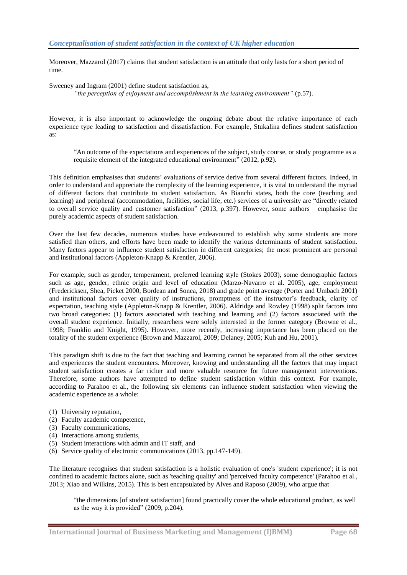Moreover, Mazzarol (2017) claims that student satisfaction is an attitude that only lasts for a short period of time.

Sweeney and Ingram (2001) define student satisfaction as, *"the perception of enjoyment and accomplishment in the learning environment"* (p.57).

However, it is also important to acknowledge the ongoing debate about the relative importance of each experience type leading to satisfaction and dissatisfaction. For example, Stukalina defines student satisfaction as:

―An outcome of the expectations and experiences of the subject, study course, or study programme as a requisite element of the integrated educational environment" (2012, p.92).

This definition emphasises that students' evaluations of service derive from several different factors. Indeed, in order to understand and appreciate the complexity of the learning experience, it is vital to understand the myriad of different factors that contribute to student satisfaction. As Bianchi states, both the core (teaching and learning) and peripheral (accommodation, facilities, social life, etc.) services of a university are "directly related to overall service quality and customer satisfaction" (2013, p.397). However, some authors emphasise the purely academic aspects of student satisfaction.

Over the last few decades, numerous studies have endeavoured to establish why some students are more satisfied than others, and efforts have been made to identify the various determinants of student satisfaction. Many factors appear to influence student satisfaction in different categories; the most prominent are personal and institutional factors (Appleton-Knapp & Krentler, 2006).

For example, such as gender, temperament, preferred learning style (Stokes 2003), some demographic factors such as age, gender, ethnic origin and level of education (Marzo-Navarro et al. 2005), age, employment (Fredericksen, Shea, Picket 2000, Bordean and Sonea, 2018) and grade point average (Porter and Umbach 2001) and institutional factors cover quality of instructions, promptness of the instructor's feedback, clarity of expectation, teaching style (Appleton-Knapp & Krentler, 2006). Aldridge and Rowley (1998) split factors into two broad categories: (1) factors associated with teaching and learning and (2) factors associated with the overall student experience. Initially, researchers were solely interested in the former category (Browne et al., 1998; Franklin and Knight, 1995). However, more recently, increasing importance has been placed on the totality of the student experience (Brown and Mazzarol, 2009; Delaney, 2005; Kuh and Hu, 2001).

This paradigm shift is due to the fact that teaching and learning cannot be separated from all the other services and experiences the student encounters. Moreover, knowing and understanding all the factors that may impact student satisfaction creates a far richer and more valuable resource for future management interventions. Therefore, some authors have attempted to define student satisfaction within this context. For example, according to Parahoo et al., the following six elements can influence student satisfaction when viewing the academic experience as a whole:

- (1) University reputation,
- (2) Faculty academic competence,
- (3) Faculty communications,
- (4) Interactions among students,
- (5) Student interactions with admin and IT staff, and
- (6) Service quality of electronic communications (2013, pp.147-149).

The literature recognises that student satisfaction is a holistic evaluation of one's 'student experience'; it is not confined to academic factors alone, such as 'teaching quality' and 'perceived faculty competence' (Parahoo et al., 2013; Xiao and Wilkins, 2015). This is best encapsulated by Alves and Raposo (2009), who argue that

―the dimensions [of student satisfaction] found practically cover the whole educational product, as well as the way it is provided"  $(2009, p.204)$ .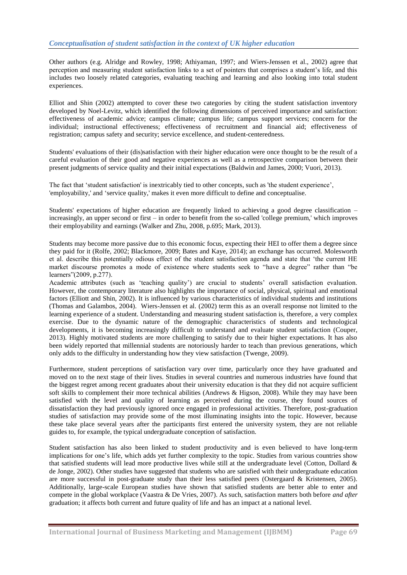Other authors (e.g. Alridge and Rowley, 1998; Athiyaman, 1997; and Wiers-Jenssen et al., 2002) agree that perception and measuring student satisfaction links to a set of pointers that comprises a student's life, and this includes two loosely related categories, evaluating teaching and learning and also looking into total student experiences.

Elliot and Shin (2002) attempted to cover these two categories by citing the student satisfaction inventory developed by Noel-Levitz, which identified the following dimensions of perceived importance and satisfaction: effectiveness of academic advice; campus climate; campus life; campus support services; concern for the individual; instructional effectiveness; effectiveness of recruitment and financial aid; effectiveness of registration; campus safety and security; service excellence, and student-centeredness.

Students' evaluations of their (dis)satisfaction with their higher education were once thought to be the result of a careful evaluation of their good and negative experiences as well as a retrospective comparison between their present judgments of service quality and their initial expectations (Baldwin and James, 2000; Vuori, 2013).

The fact that 'student satisfaction' is inextricably tied to other concepts, such as 'the student experience', 'employability,' and 'service quality,' makes it even more difficult to define and conceptualise.

Students' expectations of higher education are frequently linked to achieving a good degree classification – increasingly, an upper second or first – in order to benefit from the so-called 'college premium,' which improves their employability and earnings (Walker and Zhu, 2008, p.695; Mark, 2013).

Students may become more passive due to this economic focus, expecting their HEI to offer them a degree since they paid for it (Rolfe, 2002; Blackmore, 2009; Bates and Kaye, 2014); an exchange has occurred. Molesworth et al. describe this potentially odious effect of the student satisfaction agenda and state that 'the current HE market discourse promotes a mode of existence where students seek to "have a degree" rather than "be learners"(2009, p.277).

Academic attributes (such as 'teaching quality') are crucial to students' overall satisfaction evaluation. However, the contemporary literature also highlights the importance of social, physical, spiritual and emotional factors (Elliott and Shin, 2002). It is influenced by various characteristics of individual students and institutions (Thomas and Galambos, 2004). Wiers-Jenssen et al. (2002) term this as an overall response not limited to the learning experience of a student. Understanding and measuring student satisfaction is, therefore, a very complex exercise. Due to the dynamic nature of the demographic characteristics of students and technological developments, it is becoming increasingly difficult to understand and evaluate student satisfaction (Couper, 2013). Highly motivated students are more challenging to satisfy due to their higher expectations. It has also been widely reported that millennial students are notoriously harder to teach than previous generations, which only adds to the difficulty in understanding how they view satisfaction (Twenge, 2009).

Furthermore, student perceptions of satisfaction vary over time, particularly once they have graduated and moved on to the next stage of their lives. Studies in several countries and numerous industries have found that the biggest regret among recent graduates about their university education is that they did not acquire sufficient soft skills to complement their more technical abilities (Andrews & Higson, 2008). While they may have been satisfied with the level and quality of learning as perceived during the course, they found sources of dissatisfaction they had previously ignored once engaged in professional activities. Therefore, post-graduation studies of satisfaction may provide some of the most illuminating insights into the topic. However, because these take place several years after the participants first entered the university system, they are not reliable guides to, for example, the typical undergraduate conception of satisfaction.

Student satisfaction has also been linked to student productivity and is even believed to have long-term implications for one's life, which adds yet further complexity to the topic. Studies from various countries show that satisfied students will lead more productive lives while still at the undergraduate level (Cotton, Dollard & de Jonge, 2002). Other studies have suggested that students who are satisfied with their undergraduate education are more successful in post-graduate study than their less satisfied peers (Ostergaard & Kristensen, 2005). Additionally, large-scale European studies have shown that satisfied students are better able to enter and compete in the global workplace (Vaastra & De Vries, 2007). As such, satisfaction matters both before *and after* graduation; it affects both current and future quality of life and has an impact at a national level.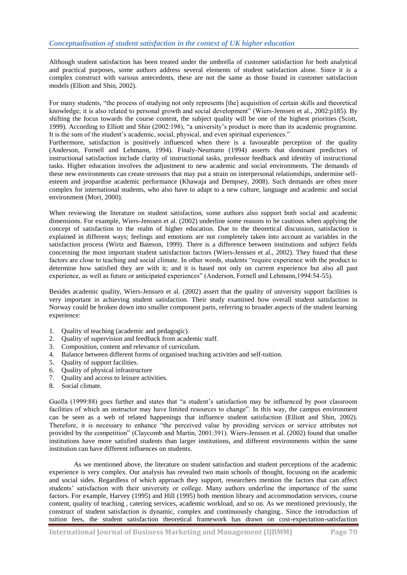Although student satisfaction has been treated under the umbrella of customer satisfaction for both analytical and practical purposes, some authors address several elements of student satisfaction alone. Since it is a complex construct with various antecedents, these are not the same as those found in customer satisfaction models (Elliott and Shin, 2002).

For many students, "the process of studying not only represents [the] acquisition of certain skills and theoretical knowledge; it is also related to personal growth and social development" (Wiers-Jenssen et al., 2002:p185). By shifting the focus towards the course content, the subject quality will be one of the highest priorities (Scott, 1999). According to Elliott and Shin (2002:198), "a university's product is more than its academic programme. It is the sum of the student's academic, social, physical, and even spiritual experiences."

Furthermore, satisfaction is positively influenced when there is a favourable perception of the quality (Anderson, Fornell and Lehmann, 1994). Finaly-Neumann (1994) asserts that dominant predictors of instructional satisfaction include clarity of instructional tasks, professor feedback and identity of instructional tasks. Higher education involves the adjustment to new academic and social environments. The demands of these new environments can create stressors that may put a strain on interpersonal relationships, undermine selfesteem and jeopardise academic performance (Khawaja and Dempsey, 2008). Such demands are often more complex for international students, who also have to adapt to a new culture, language and academic and social environment (Mori, 2000).

When reviewing the literature on student satisfaction, some authors also support both social and academic dimensions. For example, Wiers-Jenssen et al. (2002) underline some reasons to be cautious when applying the concept of satisfaction to the realm of higher education. Due to the theoretical discussion, satisfaction is explained in different ways; feelings and emotions are not completely taken into account as variables in the satisfaction process (Wirtz and Bateson, 1999). There is a difference between institutions and subject fields concerning the most important student satisfaction factors (Wiers-Jenssen et al., 2002). They found that these factors are close to teaching and social climate. In other words, students "require experience with the product to determine how satisfied they are with it; and it is based not only on current experience but also all past experience, as well as future or anticipated experiences" (Anderson, Fornell and Lehmann, 1994:54-55).

Besides academic quality, Wiers-Jenssen et al. (2002) assert that the quality of university support facilities is very important in achieving student satisfaction. Their study examined how overall student satisfaction in Norway could be broken down into smaller component parts, referring to broader aspects of the student learning experience:

- 1. Quality of teaching (academic and pedagogic).
- 2. Quality of supervision and feedback from academic staff.
- 3. Composition, content and relevance of curriculum.
- 4. Balance between different forms of organised teaching activities and self-tuition.
- 5. Quality of support facilities.
- 6. Quality of physical infrastructure
- 7. Quality and access to leisure activities.
- 8. Social climate.

Guolla (1999:88) goes further and states that "a student's satisfaction may be influenced by poor classroom facilities of which an instructor may have limited resources to change". In this way, the campus environment can be seen as a web of related happenings that influence student satisfaction (Elliott and Shin, 2002). Therefore, it is necessary to enhance "the perceived value by providing services or service attributes not provided by the competition" (Claycomb and Martin, 2001:391). Wiers-Jenssen et al. (2002) found that smaller institutions have more satisfied students than larger institutions, and different environments within the same institution can have different influences on students.

As we mentioned above, the literature on student satisfaction and student perceptions of the academic experience is very complex. Our analysis has revealed two main schools of thought, focusing on the academic and social sides. Regardless of which approach they support, researchers mention the factors that can affect students' satisfaction with their university or college. Many authors underline the importance of the same factors. For example, Harvey (1995) and Hill (1995) both mention library and accommodation services, course content, quality of teaching , catering services, academic workload, and so on. As we mentioned previously, the construct of student satisfaction is dynamic, complex and continuously changing.. Since the introduction of tuition fees, the student satisfaction theoretical framework has drawn on cost-expectation-satisfaction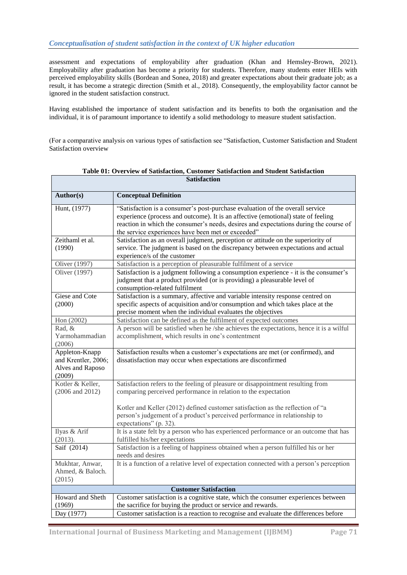Т

assessment and expectations of employability after graduation (Khan and Hemsley-Brown, 2021). Employability after graduation has become a priority for students. Therefore, many students enter HEIs with perceived employability skills (Bordean and Sonea, 2018) and greater expectations about their graduate job; as a result, it has become a strategic direction (Smith et al., 2018). Consequently, the employability factor cannot be ignored in the student satisfaction construct.

Having established the importance of student satisfaction and its benefits to both the organisation and the individual, it is of paramount importance to identify a solid methodology to measure student satisfaction.

(For a comparative analysis on various types of satisfaction see "Satisfaction, Customer Satisfaction and Student Satisfaction overview

| Author(s)                    | <b>Conceptual Definition</b>                                                                                                                                  |  |
|------------------------------|---------------------------------------------------------------------------------------------------------------------------------------------------------------|--|
| Hunt, (1977)                 | "Satisfaction is a consumer's post-purchase evaluation of the overall service                                                                                 |  |
|                              | experience (process and outcome). It is an affective (emotional) state of feeling                                                                             |  |
|                              | reaction in which the consumer's needs, desires and expectations during the course of                                                                         |  |
|                              | the service experiences have been met or exceeded"                                                                                                            |  |
| Zeithaml et al.              | Satisfaction as an overall judgment, perception or attitude on the superiority of                                                                             |  |
| (1990)                       | service. The judgment is based on the discrepancy between expectations and actual                                                                             |  |
|                              | experience/s of the customer                                                                                                                                  |  |
| Oliver (1997)                | Satisfaction is a perception of pleasurable fulfilment of a service                                                                                           |  |
| Oliver (1997)                | Satisfaction is a judgment following a consumption experience - it is the consumer's                                                                          |  |
|                              | judgment that a product provided (or is providing) a pleasurable level of                                                                                     |  |
|                              | consumption-related fulfilment                                                                                                                                |  |
| Giese and Cote               | Satisfaction is a summary, affective and variable intensity response centred on                                                                               |  |
| (2000)                       | specific aspects of acquisition and/or consumption and which takes place at the<br>precise moment when the individual evaluates the objectives                |  |
|                              |                                                                                                                                                               |  |
| Hon (2002)<br>Rad, &         | Satisfaction can be defined as the fulfilment of expected outcomes<br>A person will be satisfied when he /she achieves the expectations, hence it is a wilful |  |
| Yarmohammadian               | accomplishment, which results in one's contentment                                                                                                            |  |
| (2006)                       |                                                                                                                                                               |  |
| Appleton-Knapp               | Satisfaction results when a customer's expectations are met (or confirmed), and                                                                               |  |
| and Krentler, 2006;          | dissatisfaction may occur when expectations are disconfirmed                                                                                                  |  |
| Alves and Raposo             |                                                                                                                                                               |  |
| (2009)                       |                                                                                                                                                               |  |
| Kotler & Keller,             | Satisfaction refers to the feeling of pleasure or disappointment resulting from                                                                               |  |
| (2006 and 2012)              | comparing perceived performance in relation to the expectation                                                                                                |  |
|                              |                                                                                                                                                               |  |
|                              | Kotler and Keller (2012) defined customer satisfaction as the reflection of "a<br>person's judgement of a product's perceived performance in relationship to  |  |
|                              | expectations" (p. 32).                                                                                                                                        |  |
| Ilyas & Arif                 | It is a state felt by a person who has experienced performance or an outcome that has                                                                         |  |
| (2013).                      | fulfilled his/her expectations                                                                                                                                |  |
| Saif (2014)                  | Satisfaction is a feeling of happiness obtained when a person fulfilled his or her                                                                            |  |
|                              | needs and desires                                                                                                                                             |  |
| Mukhtar, Anwar,              | It is a function of a relative level of expectation connected with a person's perception                                                                      |  |
| Ahmed, & Baloch.             |                                                                                                                                                               |  |
| (2015)                       |                                                                                                                                                               |  |
| <b>Customer Satisfaction</b> |                                                                                                                                                               |  |
| Howard and Sheth             | Customer satisfaction is a cognitive state, which the consumer experiences between                                                                            |  |
| (1969)                       | the sacrifice for buying the product or service and rewards.                                                                                                  |  |
| Day (1977)                   | Customer satisfaction is a reaction to recognise and evaluate the differences before                                                                          |  |

**Table 01: Overview of Satisfaction, Customer Satisfaction and Student Satisfaction Satisfaction**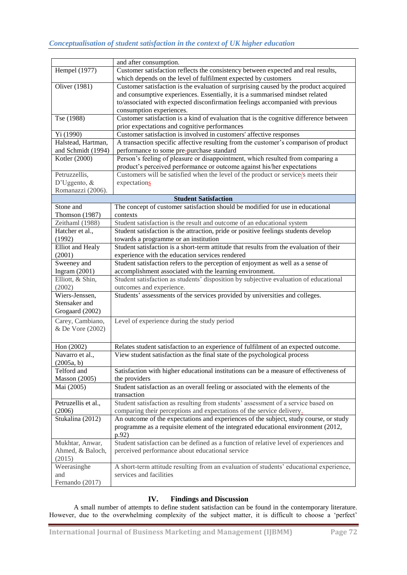|                      | and after consumption.                                                                  |
|----------------------|-----------------------------------------------------------------------------------------|
| Hempel (1977)        | Customer satisfaction reflects the consistency between expected and real results,       |
|                      | which depends on the level of fulfilment expected by customers                          |
| Oliver (1981)        | Customer satisfaction is the evaluation of surprising caused by the product acquired    |
|                      | and consumptive experiences. Essentially, it is a summarised mindset related            |
|                      | to/associated with expected disconfirmation feelings accompanied with previous          |
|                      | consumption experiences.                                                                |
| Tse (1988)           | Customer satisfaction is a kind of evaluation that is the cognitive difference between  |
|                      | prior expectations and cognitive performances                                           |
| Yi (1990)            | Customer satisfaction is involved in customers' affective responses                     |
| Halstead, Hartman,   | A transaction specific affective resulting from the customer's comparison of product    |
| and Schmidt (1994)   | performance to some pre-purchase standard                                               |
| Kotler (2000)        | Person's feeling of pleasure or disappointment, which resulted from comparing a         |
|                      | product's perceived performance or outcome against his/her expectations                 |
| Petruzzellis,        | Customers will be satisfied when the level of the product or service/s meets their      |
| D'Uggento, $\&$      | expectations                                                                            |
| Romanazzi (2006).    |                                                                                         |
|                      | <b>Student Satisfaction</b>                                                             |
| Stone and            | The concept of customer satisfaction should be modified for use in educational          |
| Thomson (1987)       | contexts                                                                                |
| Zeithaml (1988)      | Student satisfaction is the result and outcome of an educational system                 |
| Hatcher et al.,      | Student satisfaction is the attraction, pride or positive feelings students develop     |
| (1992)               | towards a programme or an institution                                                   |
| Elliot and Healy     | Student satisfaction is a short-term attitude that results from the evaluation of their |
| (2001)               | experience with the education services rendered                                         |
| Sweeney and          | Student satisfaction refers to the perception of enjoyment as well as a sense of        |
| Ingram $(2001)$      | accomplishment associated with the learning environment.                                |
| Elliott, & Shin,     | Student satisfaction as students' disposition by subjective evaluation of educational   |
| (2002)               | outcomes and experience.                                                                |
| Wiers-Jenssen,       | Students' assessments of the services provided by universities and colleges.            |
| Stensaker and        |                                                                                         |
| Grogaard (2002)      |                                                                                         |
| Carey, Cambiano,     | Level of experience during the study period                                             |
| & De Vore (2002)     |                                                                                         |
|                      |                                                                                         |
| Hon (2002)           | Relates student satisfaction to an experience of fulfilment of an expected outcome.     |
| Navarro et al.,      | View student satisfaction as the final state of the psychological process               |
| (2005a, b)           |                                                                                         |
| Telford and          | Satisfaction with higher educational institutions can be a measure of effectiveness of  |
| <b>Masson</b> (2005) | the providers                                                                           |
| Mai (2005)           | Student satisfaction as an overall feeling or associated with the elements of the       |
|                      | transaction                                                                             |
| Petruzellis et al.,  | Student satisfaction as resulting from students' assessment of a service based on       |
| (2006)               | comparing their perceptions and expectations of the service delivery.                   |
| Stukalina (2012)     | An outcome of the expectations and experiences of the subject, study course, or study   |
|                      | programme as a requisite element of the integrated educational environment (2012,       |
|                      | p.92)                                                                                   |
| Mukhtar, Anwar,      | Student satisfaction can be defined as a function of relative level of experiences and  |
| Ahmed, & Baloch,     | perceived performance about educational service                                         |
| (2015)               |                                                                                         |
| Weerasinghe          | A short-term attitude resulting from an evaluation of students' educational experience, |
| and                  | services and facilities                                                                 |
| Fernando (2017)      |                                                                                         |

# **IV. Findings and Discussion**

A small number of attempts to define student satisfaction can be found in the contemporary literature. However, due to the overwhelming complexity of the subject matter, it is difficult to choose a 'perfect'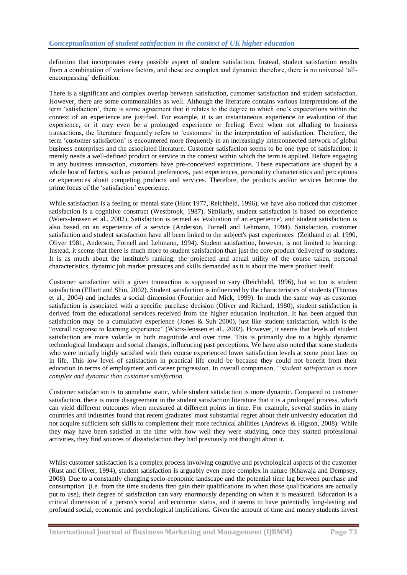definition that incorporates every possible aspect of student satisfaction. Instead, student satisfaction results from a combination of various factors, and these are complex and dynamic; therefore, there is no universal 'allencompassing' definition.

There is a significant and complex overlap between satisfaction, customer satisfaction and student satisfaction. However, there are some commonalities as well. Although the literature contains various interpretations of the term ‗satisfaction', there is some agreement that it relates to the degree to which one's expectations within the context of an experience are justified. For example, it is an instantaneous experience or evaluation of that experience, or it may even be a prolonged experience or feeling. Even when not alluding to business transactions, the literature frequently refers to 'customers' in the interpretation of satisfaction. Therefore, the term ‗customer satisfaction' is encountered more frequently in an increasingly interconnected network of global business enterprises and the associated literature. Customer satisfaction seems to be one type of satisfaction: it merely needs a well-defined product or service in the context within which the term is applied. Before engaging in any business transaction, customers have pre-conceived expectations. These expectations are shaped by a whole host of factors, such as personal preferences, past experiences, personality characteristics and perceptions or experiences about competing products and services. Therefore, the products and/or services become the prime focus of the 'satisfaction' experience.

While satisfaction is a feeling or mental state (Hunt 1977, Reichheld, 1996), we have also noticed that customer satisfaction is a cognitive construct (Westbrook, 1987). Similarly, student satisfaction is based on experience (Wiers-Jenssen et al., 2002). Satisfaction is termed as 'evaluation of an experience', and student satisfaction is also based on an experience of a service (Anderson, Fornell and Lehmann, 1994). Satisfaction, customer satisfaction and student satisfaction have all been linked to the subject's past experiences (Zeithaml et al. 1990, Oliver 1981, Anderson, Fornell and Lehmann, 1994). Student satisfaction, however, is not limited to learning. Instead, it seems that there is much more to student satisfaction than just the core product 'delivered' to students. It is as much about the institute's ranking; the projected and actual utility of the course taken, personal characteristics, dynamic job market pressures and skills demanded as it is about the 'mere product' itself.

Customer satisfaction with a given transaction is supposed to vary (Reichheld, 1996), but so too is student satisfaction (Elliott and Shin, 2002). Student satisfaction is influenced by the characteristics of students (Thomas et al., 2004) and includes a social dimension (Fournier and Mick, 1999). In much the same way as customer satisfaction is associated with a specific purchase decision (Oliver and Richard, 1980), student satisfaction is derived from the educational services received from the higher education institution. It has been argued that satisfaction may be a cumulative experience (Jones & Suh 2000), just like student satisfaction, which is the "overall response to learning experience" (Wiers-Jenssen et al., 2002). However, it seems that levels of student satisfaction are more volatile in both magnitude and over time. This is primarily due to a highly dynamic technological landscape and social changes, influencing past perceptions. We have also noted that some students who were initially highly satisfied with their course experienced lower satisfaction levels at some point later on in life. This low level of satisfaction in practical life could be because they could not benefit from their education in terms of employment and career progression. In overall comparison, "student satisfaction is more *complex and dynamic than customer satisfaction.*

Customer satisfaction is to somehow static, while student satisfaction is more dynamic. Compared to customer satisfaction, there is more disagreement in the student satisfaction literature that it is a prolonged process, which can yield different outcomes when measured at different points in time. For example, several studies in many countries and industries found that recent graduates' most substantial regret about their university education did not acquire sufficient soft skills to complement their more technical abilities (Andrews & Higson, 2008). While they may have been satisfied at the time with how well they were studying, once they started professional activities, they find sources of dissatisfaction they had previously not thought about it.

Whilst customer satisfaction is a complex process involving cognitive and psychological aspects of the customer (Rust and Oliver, 1994), student satisfaction is arguably even more complex in nature (Khawaja and Dempsey, 2008). Due to a constantly changing socio-economic landscape and the potential time lag between purchase and consumption (i.e. from the time students first gain their qualifications to when those qualifications are actually put to use), their degree of satisfaction can vary enormously depending on when it is measured. Education is a critical dimension of a person's social and economic status, and it seems to have potentially long-lasting and profound social, economic and psychological implications. Given the amount of time and money students invest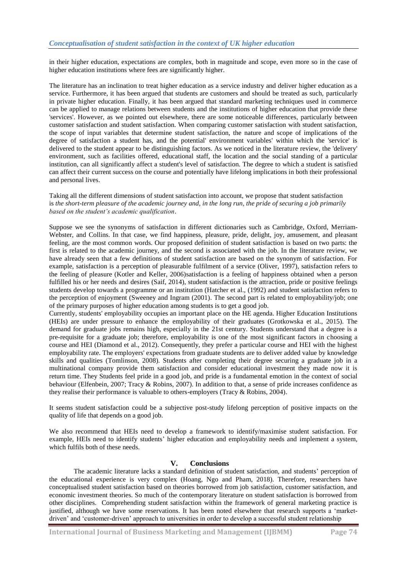in their higher education, expectations are complex, both in magnitude and scope, even more so in the case of higher education institutions where fees are significantly higher.

The literature has an inclination to treat higher education as a service industry and deliver higher education as a service. Furthermore, it has been argued that students are customers and should be treated as such, particularly in private higher education. Finally, it has been argued that standard marketing techniques used in commerce can be applied to manage relations between students and the institutions of higher education that provide these 'services'. However, as we pointed out elsewhere, there are some noticeable differences, particularly between customer satisfaction and student satisfaction. When comparing customer satisfaction with student satisfaction, the scope of input variables that determine student satisfaction, the nature and scope of implications of the degree of satisfaction a student has, and the potential' environment variables' within which the 'service' is delivered to the student appear to be distinguishing factors. As we noticed in the literature review, the 'delivery' environment, such as facilities offered, educational staff, the location and the social standing of a particular institution, can all significantly affect a student's level of satisfaction. The degree to which a student is satisfied can affect their current success on the course and potentially have lifelong implications in both their professional and personal lives.

Taking all the different dimensions of student satisfaction into account, we propose that student satisfaction is *the short-term pleasure of the academic journey and, in the long run, the pride of securing a job primarily based on the student"s academic qualification*.

Suppose we see the synonyms of satisfaction in different dictionaries such as Cambridge, Oxford, Merriam-Webster, and Collins. In that case, we find happiness, pleasure, pride, delight, joy, amusement, and pleasant feeling, are the most common words. Our proposed definition of student satisfaction is based on two parts: the first is related to the academic journey, and the second is associated with the job. In the literature review, we have already seen that a few definitions of student satisfaction are based on the synonym of satisfaction. For example, satisfaction is a perception of pleasurable fulfilment of a service (Oliver, 1997), satisfaction refers to the feeling of pleasure (Kotler and Keller, 2006)satisfaction is a feeling of happiness obtained when a person fulfilled his or her needs and desires (Saif, 2014), student satisfaction is the attraction, pride or positive feelings students develop towards a programme or an institution (Hatcher et al., (1992) and student satisfaction refers to the perception of enjoyment (Sweeney and Ingram (2001). The second part is related to employability/job; one of the primary purposes of higher education among students is to get a good job.

Currently, students' employability occupies an important place on the HE agenda. Higher Education Institutions (HEIs) are under pressure to enhance the employability of their graduates (Grotkowska et al., 2015). The demand for graduate jobs remains high, especially in the 21st century. Students understand that a degree is a pre-requisite for a graduate job; therefore, employability is one of the most significant factors in choosing a course and HEI (Diamond et al., 2012). Consequently, they prefer a particular course and HEI with the highest employability rate. The employers' expectations from graduate students are to deliver added value by knowledge skills and qualities (Tomlinson, 2008). Students after completing their degree securing a graduate job in a multinational company provide them satisfaction and consider educational investment they made now it is return time. They Students feel pride in a good job, and pride is a fundamental emotion in the context of social behaviour (Elfenbein, 2007; Tracy & Robins, 2007). In addition to that, a sense of pride increases confidence as they realise their performance is valuable to others-employers (Tracy & Robins, 2004).

It seems student satisfaction could be a subjective post-study lifelong perception of positive impacts on the quality of life that depends on a good job.

We also recommend that HEIs need to develop a framework to identify/maximise student satisfaction. For example, HEIs need to identify students' higher education and employability needs and implement a system, which fulfils both of these needs.

#### **V. Conclusions**

The academic literature lacks a standard definition of student satisfaction, and students' perception of the educational experience is very complex (Hoang, Ngo and Pham, 2018). Therefore, researchers have conceptualised student satisfaction based on theories borrowed from job satisfaction, customer satisfaction, and economic investment theories. So much of the contemporary literature on student satisfaction is borrowed from other disciplines. Comprehending student satisfaction within the framework of general marketing practice is justified, although we have some reservations. It has been noted elsewhere that research supports a 'marketdriven' and ‗customer-driven' approach to universities in order to develop a successful student relationship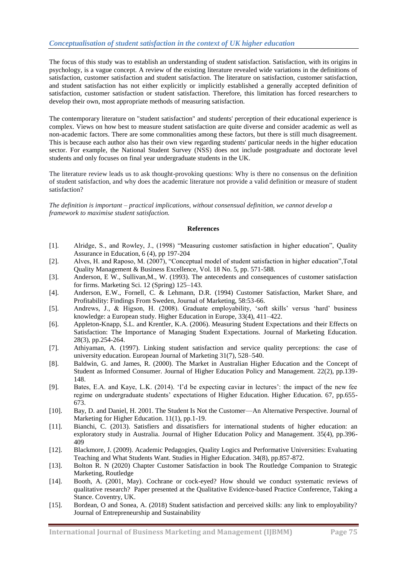## *Conceptualisation of student satisfaction in the context of UK higher education*

The focus of this study was to establish an understanding of student satisfaction. Satisfaction, with its origins in psychology, is a vague concept. A review of the existing literature revealed wide variations in the definitions of satisfaction, customer satisfaction and student satisfaction. The literature on satisfaction, customer satisfaction, and student satisfaction has not either explicitly or implicitly established a generally accepted definition of satisfaction, customer satisfaction or student satisfaction. Therefore, this limitation has forced researchers to develop their own, most appropriate methods of measuring satisfaction.

The contemporary literature on "student satisfaction" and students' perception of their educational experience is complex. Views on how best to measure student satisfaction are quite diverse and consider academic as well as non-academic factors. There are some commonalities among these factors, but there is still much disagreement. This is because each author also has their own view regarding students' particular needs in the higher education sector. For example, the National Student Survey (NSS) does not include postgraduate and doctorate level students and only focuses on final year undergraduate students in the UK.

The literature review leads us to ask thought-provoking questions: Why is there no consensus on the definition of student satisfaction, and why does the academic literature not provide a valid definition or measure of student satisfaction?

*The definition is important – practical implications, without consensual definition, we cannot develop a framework to maximise student satisfaction.*

#### **References**

- [1]. Alridge, S., and Rowley, J., (1998) "Measuring customer satisfaction in higher education", Quality Assurance in Education, 6 (4), pp 197-204
- [2]. Alves, H. and Raposo, M. (2007), "Conceptual model of student satisfaction in higher education", Total Quality Management & Business Excellence, Vol. 18 No. 5, pp. 571-588.
- [3]. Anderson, E W., Sullivan,M., W. (1993). The antecedents and consequences of customer satisfaction for firms. Marketing Sci. 12 (Spring) 125–143.
- [4]. Anderson, E.W., Fornell, C. & Lehmann, D.R. (1994) Customer Satisfaction, Market Share, and Profitability: Findings From Sweden, Journal of Marketing, 58:53-66.
- [5]. Andrews, J., & Higson, H. (2008). Graduate employability, 'soft skills' versus 'hard' business knowledge: a European study. Higher Education in Europe, 33(4), 411–422.
- [6]. Appleton-Knapp, S.L. and Krentler, K.A. (2006). Measuring Student Expectations and their Effects on Satisfaction: The Importance of Managing Student Expectations. Journal of Marketing Education. 28(3), pp.254-264.
- [7]. Athiyaman, A. (1997). Linking student satisfaction and service quality perceptions: the case of university education. European Journal of Marketing 31(7), 528–540.
- [8]. Baldwin, G. and James, R. (2000). The Market in Australian Higher Education and the Concept of Student as Informed Consumer. Journal of Higher Education Policy and Management. 22(2), pp.139- 148.
- [9]. Bates, E.A. and Kaye, L.K. (2014). ‗I'd be expecting caviar in lectures': the impact of the new fee regime on undergraduate students' expectations of Higher Education. Higher Education. 67, pp.655- 673.
- [10]. Bay, D. and Daniel, H. 2001. The Student Is Not the Customer—An Alternative Perspective. Journal of Marketing for Higher Education. 11(1), pp.1-19.
- [11]. Bianchi, C. (2013). Satisfiers and dissatisfiers for international students of higher education: an exploratory study in Australia. Journal of Higher Education Policy and Management. 35(4), pp.396- 409
- [12]. Blackmore, J. (2009). Academic Pedagogies, Quality Logics and Performative Universities: Evaluating Teaching and What Students Want. Studies in Higher Education. 34(8), pp.857-872.
- [13]. Bolton R. N (2020) Chapter Customer Satisfaction in book The Routledge Companion to Strategic Marketing, Routledge
- [14]. Booth, A. (2001, May). Cochrane or cock-eyed? How should we conduct systematic reviews of qualitative research? Paper presented at the Qualitative Evidence-based Practice Conference, Taking a Stance. Coventry, UK.
- [15]. Bordean, O and Sonea, A. (2018) Student satisfaction and perceived skills: any link to employability? Journal of Entrepreneurship and Sustainability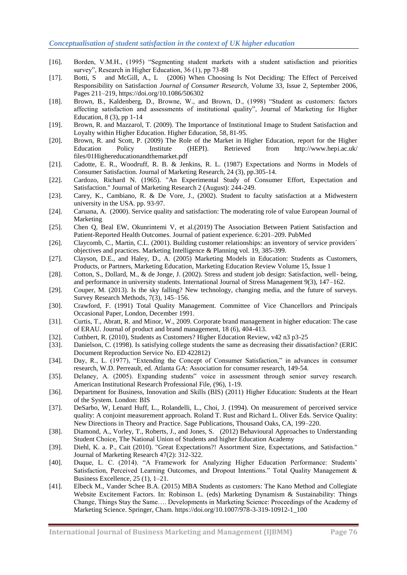- [16]. Borden, V.M.H., (1995) "Segmenting student markets with a student satisfaction and priorities survey", Research in Higher Education, 36 (1), pp 73-88
- [17]. Botti, S and McGill, A., L (2006) When Choosing Is Not Deciding: The Effect of Perceived Responsibility on Satisfaction *Journal of Consumer Research*, Volume 33, Issue 2, September 2006, Pages 211–219, <https://doi.org/10.1086/506302>
- [18]. Brown, B., Kaldenberg, D., Browne, W., and Brown, D., (1998) "Student as customers: factors affecting satisfaction and assessments of institutional quality". Journal of Marketing for Higher Education, 8 (3), pp 1-14
- [19]. Brown, R. and Mazzarol, T. (2009). The Importance of Institutional Image to Student Satisfaction and Loyalty within Higher Education. Higher Education, 58, 81-95.
- [20]. Brown, R. and Scott, P. (2009) The Role of the Market in Higher Education, report for the Higher Education Policy Institute (HEPI). Retrieved from http://www.hepi.ac.uk/ files/01Highereducationandthemarket.pdf
- [21]. Cadotte, E. R., Woodruff, R. B. & Jenkins, R. L. (1987) Expectations and Norms in Models of Consumer Satisfaction. Journal of Marketing Research, 24 (3), pp.305-14.
- [22]. Cardozo, Richard N. (1965). "An Experimental Study of Consumer Effort, Expectation and Satisfaction." Journal of Marketing Research 2 (August): 244-249.
- [23]. Carey, K., Cambiano, R. & De Vore, J., (2002). Student to faculty satisfaction at a Midwestern university in the USA. pp. 93-97.
- [24]. Caruana, A. (2000). Service quality and satisfaction: The moderating role of value European Journal of Marketing
- [25]. Chen Q, Beal EW, Okunrintemi V, et al.(2019) The Association Between Patient Satisfaction and Patient-Reported Health Outcomes. Journal of patient experience. 6:201–209. PubMed
- [26]. Claycomb, C., Martin, C.L. (2001). Building customer relationships: an inventory of service providers´ objectives and practices. Marketing Intelligence & Planning vol. 19, 385-399.
- [27]. Clayson, D.E., and Haley, D., A. (2005) Marketing Models in Education: Students as Customers, Products, or Partners, Marketing Education, [Marketing Education Review](https://www.tandfonline.com/toc/mmer20/current) Volume 15, [Issue 1](https://www.tandfonline.com/toc/mmer20/15/1)
- [28]. Cotton, S., Dollard, M., & de Jonge, J. (2002). Stress and student job design: Satisfaction, well- being, and performance in university students. International Journal of Stress Management 9(3), 147–162.
- [29]. Couper, M. (2013). Is the sky falling? New technology, changing media, and the future of surveys. Survey Research Methods, 7(3), 145–156.
- [30]. Crawford, F. (1991) Total Quality Management. Committee of Vice Chancellors and Principals Occasional Paper, London, December 1991.
- [31]. Curtis, T., Abratt, R. and Minor, W., 2009. Corporate brand management in higher education: The case of ERAU. Journal of product and brand management, 18 (6), 404-413.
- [32]. Cuthbert, R. (2010), Students as Customers? Higher Education Review, v42 n3 p3-25
- [33]. Danielson, C. (1998). Is satisfying college students the same as decreasing their dissatisfaction? (ERIC Document Reproduction Service No. ED 422812)
- [34]. Day, R., L. (1977), "Extending the Concept of Consumer Satisfaction," in advances in consumer research, W.D. Perreault, ed. Atlanta GA: Association for consumer research, 149-54.
- [35]. Delaney, A. (2005). Expanding students" voice in assessment through senior survey research. American Institutional Research Professional File, (96), 1-19.
- [36]. Department for Business, Innovation and Skills (BIS) (2011) Higher Education: Students at the Heart of the System. London: BIS
- [37]. DeSarbo, W, Lenard Huff, L., Rolandelli, L., Choi, J. (1994). On measurement of perceived service quality: A conjoint measurement approach. Roland T. Rust and Richard L. Oliver Eds. Service Quality: New Directions in Theory and Practice. Sage Publications, Thousand Oaks, CA, 199–220.
- [38]. Diamond, A., Vorley, T., Roberts, J., and Jones, S. (2012) Behavioural Approaches to Understanding Student Choice, The National Union of Students and higher Education Academy
- [39]. Diehl, K. a. P., Cait (2010). "Great Expectations?! Assortment Size, Expectations, and Satisfaction." Journal of Marketing Research 47(2): 312-322.
- [40]. Duque, L. C. (2014). "A Framework for Analyzing Higher Education Performance: Students' Satisfaction, Perceived Learning Outcomes, and Dropout Intentions." Total Quality Management & Business Excellence, 25 (1), 1–21.
- [41]. Elbeck M., Vander Schee B.A. (2015) MBA Students as customers: The Kano Method and Collegiate Website Excitement Factors. In: Robinson L. (eds) Marketing Dynamism & Sustainability: Things Change, Things Stay the Same…. Developments in Marketing Science: Proceedings of the Academy of Marketing Science. Springer, Cham. https://doi.org/10.1007/978-3-319-10912-1\_100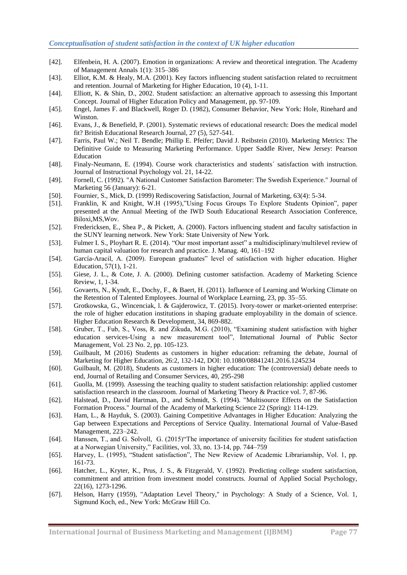- [42]. Elfenbein, H. A. (2007). Emotion in organizations: A review and theoretical integration. The Academy of Management Annals 1(1): 315–386
- [43]. Elliot, K.M. & Healy, M.A. (2001). Key factors influencing student satisfaction related to recruitment and retention. Journal of Marketing for Higher Education, 10 (4), 1-11.
- [44]. Elliott, K. & Shin, D., 2002. Student satisfaction: an alternative approach to assessing this Important Concept. Journal of Higher Education Policy and Management, pp. 97-109.
- [45]. Engel, James F. and Blackwell, Roger D. (1982), Consumer Behavior, New York: Hole, Rinehard and Winston.
- [46]. Evans, J., & Benefield, P. (2001). Systematic reviews of educational research: Does the medical model fit? British Educational Research Journal, 27 (5), 527-541.
- [47]. Farris, Paul W.; Neil T. Bendle; Phillip E. Pfeifer; David J. Reibstein (2010). Marketing Metrics: The Definitive Guide to Measuring Marketing Performance. Upper Saddle River, New Jersey: Pearson Education
- [48]. Finaly-Neumann, E. (1994). Course work characteristics and students´ satisfaction with instruction. Journal of Instructional Psychology vol. 21, 14-22.
- [49]. Fornell, C. (1992). "A National Customer Satisfaction Barometer: The Swedish Experience." Journal of Marketing 56 (January): 6-21.
- [50]. Fournier, S., Mick, D. (1999) Rediscovering Satisfaction, Journal of Marketing, 63(4): 5-34.
- [51]. Franklin, K and Knight, W.H (1995),"Using Focus Groups To Explore Students Opinion", paper presented at the Annual Meeting of the IWD South Educational Research Association Conference, Biloxi,MS,Wov.
- [52]. Fredericksen, E., Shea P., & Pickett, A. (2000). Factors influencing student and faculty satisfaction in the SUNY learning network. New York: State University of New York.
- [53]. Fulmer I. S., Ployhart R. E. (2014). "Our most important asset" a multidisciplinary/multilevel review of human capital valuation for research and practice. J. Manag. 40, 161–192
- [54]. García-Aracil, A. (2009). European graduates" level of satisfaction with higher education. Higher Education, 57(1), 1-21.
- [55]. Giese, J. L., & Cote, J. A. (2000). Defining customer satisfaction. Academy of Marketing Science Review, 1, 1-34.
- [56]. Govaerts, N., Kyndt, E., Dochy, F., & Baert, H. (2011). Influence of Learning and Working Climate on the Retention of Talented Employees. Journal of Workplace Learning, 23, pp. 35–55.
- [57]. Grotkowska, G., Wincenciak, l. & Gajderowicz, T. (2015). Ivory-tower or market-oriented enterprise: the role of higher education institutions in shaping graduate employability in the domain of science. Higher Education Research & Development, 34, 869-882.
- [58]. Gruber, T., Fub, S., Voss, R. and Zikuda, M.G. (2010), "Examining student satisfaction with higher education services-Using a new measurement tool", International Journal of Public Sector Management, Vol. 23 No. 2, pp. 105-123.
- [59]. Guilbault, M (2016) Students as customers in higher education: reframing the debate, Journal of Marketing for Higher Education, 26:2, 132-142, DOI: 10.1080/08841241.2016.1245234
- [60]. Guilbault, M. (2018), Students as customers in higher education: The (controversial) debate needs to end, Journal of Retailing and Consumer Services, 40, 295-298
- [61]. Guolla, M. (1999). Assessing the teaching quality to student satisfaction relationship: applied customer satisfaction research in the classroom. Journal of Marketing Theory & Practice vol. 7, 87-96.
- [62]. Halstead, D., David Hartman, D., and Schmidt, S. (1994). "Multisource Effects on the Satisfaction Formation Process." Journal of the Academy of Marketing Science 22 (Spring): 114-129.
- [63]. Ham, L., & Hayduk, S. (2003). Gaining Competitive Advantages in Higher Education: Analyzing the Gap between Expectations and Perceptions of Service Quality. International Journal of Value-Based Management, 223–242.
- [64]. Hanssen, T., and G. Solvoll, G. (2015) "The importance of university facilities for student satisfaction at a Norwegian University," Facilities, vol. 33, no. 13-14, pp. 744-759
- [65]. Harvey, L. (1995), "Student satisfaction", The New Review of Academic Librarianship, Vol. 1, pp. 161-73.
- [66]. Hatcher, L., Kryter, K., Prus, J. S., & Fitzgerald, V. (1992). Predicting college student satisfaction, commitment and attrition from investment model constructs. Journal of Applied Social Psychology, 22(16), 1273-1296.
- [67]. Helson, Harry (1959), "Adaptation Level Theory," in Psychology: A Study of a Science, Vol. 1, Sigmund Koch, ed., New York: McGraw Hill Co.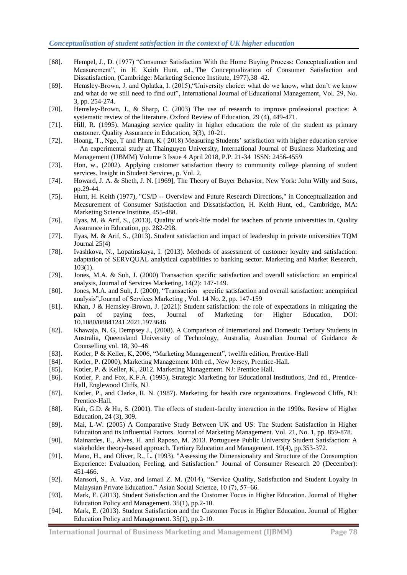- [68]. Hempel, J., D. (1977) "Consumer Satisfaction With the Home Buying Process: Conceptualization and Measurement", in H. Keith Hunt, ed., The Conceptualization of Consumer Satisfaction and Dissatisfaction, (Cambridge: Marketing Science Institute, 1977),38–42.
- [69]. Hemsley-Brown, J. and Oplatka, I. (2015), "University choice: what do we know, what don't we know and what do we still need to find out", International Journal of Educational Management, Vol. 29, No. 3, pp. 254-274.
- [70]. Hemsley-Brown, J., & Sharp, C. (2003) The use of research to improve professional practice: A systematic review of the literature. Oxford Review of Education, 29 (4), 449-471.
- [71]. Hill, R. (1995). Managing service quality in higher education: the role of the student as primary customer. Quality Assurance in Education, 3(3), 10-21.
- [72]. Hoang, T., Ngo, T and Pham, K ( 2018) Measuring Students' satisfaction with higher education service – An experimental study at Thainguyen University, International Journal of Business Marketing and Management (IJBMM) Volume 3 Issue 4 April 2018, P.P. 21-34 ISSN: 2456-4559
- [73]. Hon, w., (2002). Applying customer satisfaction theory to community college planning of student services. Insight in Student Services, p. Vol. 2.
- [74]. Howard, J. A. & Sheth, J. N. [1969], The Theory of Buyer Behavior, New York: John Willy and Sons, pp.29-44.
- [75]. Hunt, H. Keith (1977), "CS/D -- Overview and Future Research Directions," in Conceptualization and Measurement of Consumer Satisfaction and Dissatisfaction, H. Keith Hunt, ed., Cambridge, MA: Marketing Science Institute, 455-488.
- [76]. Ilyas, M. & Arif, S., (2013). Quality of work-life model for teachers of private universities in. Quality Assurance in Education, pp. 282-298.
- [77]. Ilyas, M. & Arif, S., (2013). Student satisfaction and impact of leadership in private universities TQM Journal 25(4)
- [78]. Ivashkova, N., Lopatinskaya, I. (2013). Methods of assessment of customer loyalty and satisfaction: adaptation of SERVQUAL analytical capabilities to banking sector. Marketing and Market Research, 103(1).
- [79]. Jones, M.A. & Suh, J. (2000) Transaction specific satisfaction and overall satisfaction: an empirical analysis, Journal of Services Marketing, 14(2): 147-149.
- [80]. Jones, M.A. and Suh, J. (2000), "Transaction specific satisfaction and overall satisfaction: anempirical analysis", Journal of Services Marketing , Vol. 14 No. 2, pp. 147-159
- [81]. Khan, J & Hemsley-Brown, J. (2021): Student satisfaction: the role of expectations in mitigating the pain of paying fees, Journal of Marketing for Higher Education, DOI: 10.1080/08841241.2021.1973646
- [82]. Khawaja, N. G, Dempsey J., (2008). A Comparison of International and Domestic Tertiary Students in Australia, Queensland University of Technology, Australia, Australian Journal of Guidance & Counselling vol. 18, 30–46
- [83]. Kotler, P & Keller, K, 2006, "Marketing Management", twelfth edition, Prentice-Hall
- [84]. Kotler, P. (2000), Marketing Management 10th ed., New Jersey, Prentice-Hall.
- [85]. Kotler, P. & Keller, K., 2012. Marketing Management. NJ: Prentice Hall.
- [86]. Kotler, P. and Fox, K.F.A. (1995), Strategic Marketing for Educational Institutions, 2nd ed., Prentice-Hall, Englewood Cliffs, NJ.
- [87]. Kotler, P., and Clarke, R. N. (1987). Marketing for health care organizations. Englewood Cliffs, NJ: Prentice-Hall.
- [88]. Kuh, G.D. & Hu, S. (2001). The effects of student-faculty interaction in the 1990s. Review of Higher Education, 24 (3), 309.
- [89]. Mai, L-W. (2005) A Comparative Study Between UK and US: The Student Satisfaction in Higher Education and its Influential Factors. Journal of Marketing Management. Vol. 21, No. 1, pp. 859-878.
- [90]. Mainardes, E., Alves, H. and Raposo, M. 2013. Portuguese Public University Student Satisfaction: A stakeholder theory-based approach. Tertiary Education and Management. 19(4), pp.353-372.
- [91]. Mano, H., and Oliver, R., L. (1993). "Assessing the Dimensionality and Structure of the Consumption Experience: Evaluation, Feeling, and Satisfaction." Journal of Consumer Research 20 (December): 451-466.
- [92]. Mansori, S., A. Vaz, and Ismail Z. M. (2014), "Service Quality, Satisfaction and Student Loyalty in Malaysian Private Education." Asian Social Science, 10 (7), 57-66.
- [93]. Mark, E. (2013). Student Satisfaction and the Customer Focus in Higher Education. Journal of Higher Education Policy and Management. 35(1), pp.2-10.
- [94]. Mark, E. (2013). Student Satisfaction and the Customer Focus in Higher Education. Journal of Higher Education Policy and Management. 35(1), pp.2-10.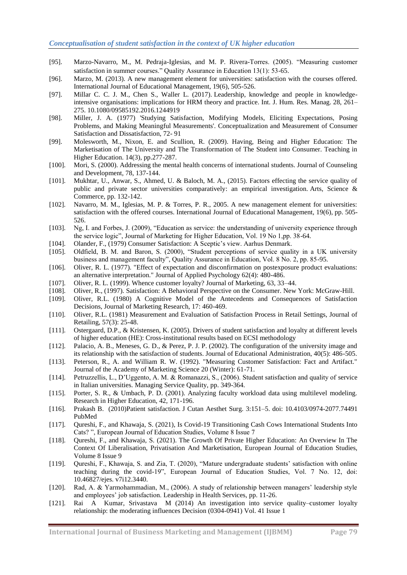- [95]. Marzo-Navarro, M., M. Pedraja-Iglesias, and M. P. Rivera-Torres. (2005). "Measuring customer satisfaction in summer courses." Quality Assurance in Education 13(1): 53-65.
- [96]. Marzo, M. (2013). A new management element for universities: satisfaction with the courses offered. International Journal of Educational Management, 19(6), 505-526.
- [97]. Millar C. C. J. M., Chen S., Waller L. (2017). Leadership, knowledge and people in knowledgeintensive organisations: implications for HRM theory and practice. Int. J. Hum. Res. Manag. 28, 261– 275. 10.1080/09585192.2016.1244919
- [98]. Miller, J. A. (1977) 'Studying Satisfaction, Modifying Models, Eliciting Expectations, Posing Problems, and Making Meaningful Measurements'. Conceptualization and Measurement of Consumer Satisfaction and Dissatisfaction, 72- 91
- [99]. Molesworth, M., Nixon, E. and Scullion, R. (2009). Having, Being and Higher Education: The Marketisation of The University and The Transformation of The Student into Consumer. Teaching in Higher Education. 14(3), pp.277-287.
- [100]. Mori, S. (2000). Addressing the mental health concerns of international students. Journal of Counseling and Development, 78, 137-144.
- [101]. Mukhtar, U., Anwar, S., Ahmed, U. & Baloch, M. A., (2015). Factors effecting the service quality of public and private sector universities comparatively: an empirical investigation. Arts, Science & Commerce, pp. 132-142.
- [102]. Navarro, M. M., Iglesias, M. P. & Torres, P. R., 2005. A new management element for universities: satisfaction with the offered courses. International Journal of Educational Management, 19(6), pp. 505- 526.
- [103]. Ng, I. and Forbes, J. (2009), "Education as service: the understanding of university experience through the service logic", Journal of Marketing for Higher Education, Vol. 19 No 1,pp. 38-64.
- [104]. Olander, F., (1979) Consumer Satisfaction: A Sceptic's view. Aarhus Denmark.
- [105]. Oldfield, B. M. and Baron, S. (2000), "Student perceptions of service quality in a UK university business and management faculty", Quality Assurance in Education, Vol. 8 No. 2, pp. 85-95.
- [106]. Oliver, R. L. (1977). "Effect of expectation and disconfirmation on postexposure product evaluations: an alternative interpretation." Journal of Applied Psychology 62(4): 480-486.
- [107]. Oliver, R. L. (1999). Whence customer loyalty? Journal of Marketing, 63, 33–44.
- [108]. Oliver, R., (1997). Satisfaction: A Behavioral Perspective on the Consumer. New York: McGraw-Hill.
- [109]. Oliver, R.L. (1980) A Cognitive Model of the Antecedents and Consequences of Satisfaction Decisions, Journal of Marketing Research, 17: 460-469.
- [110]. Oliver, R.L. (1981) Measurement and Evaluation of Satisfaction Process in Retail Settings, Journal of Retailing, 57(3): 25-48.
- [111]. Ostergaard, D.P., & Kristensen, K. (2005). Drivers of student satisfaction and loyalty at different levels of higher education (HE): Cross-institutional results based on ECSI methodology
- [112]. Palacio, A. B., Meneses, G. D., & Perez, P. J. P. (2002). The configuration of the university image and its relationship with the satisfaction of students. Journal of Educational Administration, 40(5): 486-505.
- [113]. Peterson, R., A. and William R. W. (1992). "Measuring Customer Satisfaction: Fact and Artifact." Journal of the Academy of Marketing Science 20 (Winter): 61-71.
- [114]. Petruzzellis, L., D'Uggento, A. M. & Romanazzi, S., (2006). Student satisfaction and quality of service in Italian universities. Managing Service Quality, pp. 349-364.
- [115]. Porter, S. R., & Umbach, P. D. (2001). Analyzing faculty workload data using multilevel modeling. Research in Higher Education, 42, 171-196.
- [116]. Prakash B. (2010)Patient satisfaction. J Cutan Aesthet Surg. 3:151–5. doi: 10.4103/0974-2077.74491 [PubMed](http://www.ncbi.nlm.nih.gov/sites/entrez?Db=pubmed&Cmd=ShowDetailView&TermToSearch=21430827)
- [117]. Qureshi, F., and Khawaja, S. (2021), Is Covid-19 Transitioning Cash Cows International Students Into Cats? ", European Journal of Education Studies, Volume 8 Issue 7
- [118]. Qureshi, F., and Khawaja, S. (2021). The Growth Of Private Higher Education: An Overview In The Context Of Liberalisation, Privatisation And Marketisation, European Journal of Education Studies, Volume 8 Issue 9
- [119]. Qureshi, F., Khawaja, S. and Zia, T. (2020), "Mature undergraduate students' satisfaction with online teaching during the covid-19", European Journal of Education Studies, Vol. 7 No. 12, doi: 10.46827/ejes. v7i12.3440.
- [120]. Rad, A. & Yarmohammadian, M., (2006). A study of relationship between managers' leadership style and employees' job satisfaction. Leadership in Health Services, pp. 11-26.
- [121]. Rai A Kumar, Srivastava M (2014) An investigation into service quality–customer loyalty relationship: the moderating influences Decision (0304-0941) Vol. 41 Issue 1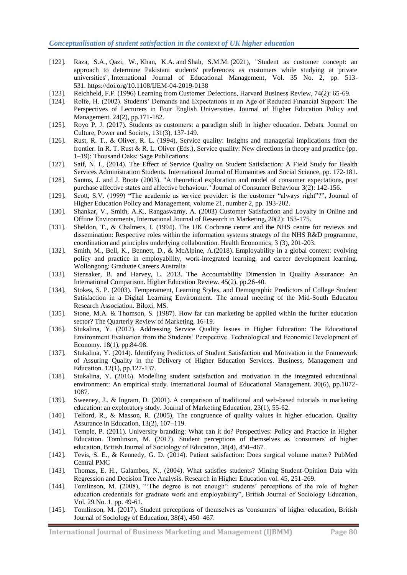- [122]. [Raza, S.A.,](https://www.emerald.com/insight/search?q=Syed%20Ali%20Raza) [Qazi, W.,](https://www.emerald.com/insight/search?q=Wasim%20Qazi) [Khan, K.A.](https://www.emerald.com/insight/search?q=Komal%20Akram%20Khan) and [Shah, S.M.M.](https://www.emerald.com/insight/search?q=Syed%20Mir%20Muhammad%20Shah) (2021), "Student as customer concept: an approach to determine Pakistani students' preferences as customers while studying at private universities", [International Journal of Educational Management,](https://www.emerald.com/insight/publication/issn/0951-354X) Vol. 35 No. 2, pp. 513- 531. <https://doi.org/10.1108/IJEM-04-2019-0138>
- [123]. Reichheld, F.F. (1996) Learning from Customer Defections, Harvard Business Review, 74(2): 65-69.
- [124]. Rolfe, H. (2002). Students' Demands and Expectations in an Age of Reduced Financial Support: The Perspectives of Lecturers in Four English Universities. Journal of Higher Education Policy and Management. 24(2), pp.171-182.
- [125]. Royo P, J. (2017). Students as customers: a paradigm shift in higher education. Debats. Journal on Culture, Power and Society, 131(3), 137-149.
- [126]. Rust, R. T., & Oliver, R. L. (1994). Service quality: Insights and managerial implications from the frontier. In R. T. Rust & R. L. Oliver (Eds.), Service quality: New directions in theory and practice (pp. 1–19): Thousand Oaks: Sage Publications.
- [127]. Saif, N. I., (2014). The Effect of Service Quality on Student Satisfaction: A Field Study for Health Services Administration Students. International Journal of Humanities and Social Science, pp. 172-181.
- [128]. Santos, J. and J. Boote (2003). "A theoretical exploration and model of consumer expectations, post purchase affective states and affective behaviour." Journal of Consumer Behaviour 3(2): 142-156.
- [129]. Scott, S.V. (1999) "The academic as service provider: is the customer "always right"?", Journal of Higher Education Policy and Management, volume 21, number 2, pp. 193-202.
- [130]. Shankar, V., Smith, A.K., Rangaswamy, A. (2003) Customer Satisfaction and Loyalty in Online and Offiine Environments, International Journal of Research in Marketing, 20(2): 153-175.
- [131]. Sheldon, T., & Chalmers, I. (1994). The UK Cochrane centre and the NHS centre for reviews and dissemination: Respective roles within the information systems strategy of the NHS R&D programme, coordination and principles underlying collaboration. Health Economics, 3 (3), 201-203.
- [132]. Smith, M., Bell, K., Bennett, D., & McAlpine, A.(2018). Employability in a global context: evolving policy and practice in employability, work-integrated learning, and career development learning. Wollongong: Graduate Careers Australia
- [133]. Stensaker, B. and Harvey, L. 2013. The Accountability Dimension in Quality Assurance: An International Comparison. Higher Education Review. 45(2), pp.26-40.
- [134]. Stokes, S. P. (2003). Temperament, Learning Styles, and Demographic Predictors of College Student Satisfaction in a Digital Learning Environment. The annual meeting of the Mid-South Educaton Research Association. Biloxi, MS.
- [135]. Stone, M.A. & Thomson, S. (1987). How far can marketing be applied within the further education sector? The Quarterly Review of Marketing, 16-19.
- [136]. Stukalina, Y. (2012). Addressing Service Quality Issues in Higher Education: The Educational Environment Evaluation from the Students' Perspective. Technological and Economic Development of Economy. 18(1), pp.84-98.
- [137]. Stukalina, Y. (2014). Identifying Predictors of Student Satisfaction and Motivation in the Framework of Assuring Quality in the Delivery of Higher Education Services. Business, Management and Education. 12(1), pp.127-137.
- [138]. Stukalina, Y. (2016). Modelling student satisfaction and motivation in the integrated educational environment: An empirical study. International Journal of Educational Management. 30(6), pp.1072- 1087.
- [139]. Sweeney, J., & Ingram, D. (2001). A comparison of traditional and web-based tutorials in marketing education: an exploratory study. Journal of Marketing Education, 23(1), 55-62.
- [140]. Telford, R., & Masson, R. (2005), The congruence of quality values in higher education. Quality Assurance in Education, 13(2), 107–119.
- [141]. Temple, P. (2011). University branding: What can it do? Perspectives: Policy and Practice in Higher Education. Tomlinson, M. (2017). Student perceptions of themselves as 'consumers' of higher education, British Journal of Sociology of Education, 38(4), 450–467.
- [142]. Tevis, S. E., & Kennedy, G. D. (2014). Patient satisfaction: Does surgical volume matter? PubMed Central PMC
- [143]. Thomas, E. H., Galambos, N., (2004). What satisfies students? Mining Student-Opinion Data with Regression and Decision Tree Analysis. Research in Higher Education vol. 45, 251-269.
- [144]. Tomlinson, M. (2008), "The degree is not enough': students' perceptions of the role of higher education credentials for graduate work and employability", British Journal of Sociology Education, Vol. 29 No. 1, pp. 49-61.
- [145]. Tomlinson, M. (2017). Student perceptions of themselves as 'consumers' of higher education, British Journal of Sociology of Education, 38(4), 450–467.